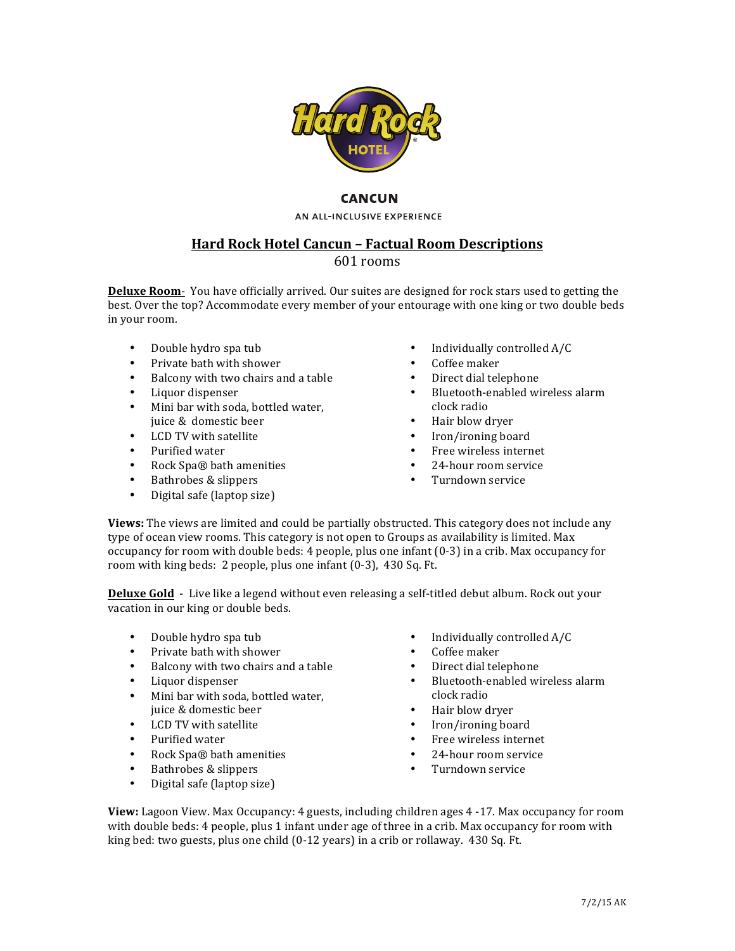

## **CANCUN**

AN ALL-INCLUSIVE EXPERIENCE

# **Hard Rock Hotel Cancun - Factual Room Descriptions**

## 601 rooms

**Deluxe Room-** You have officially arrived. Our suites are designed for rock stars used to getting the best. Over the top? Accommodate every member of your entourage with one king or two double beds in your room.

- Double hydro spa tub
- Private bath with shower
- Balcony with two chairs and a table
- Liquor dispenser
- Mini bar with soda, bottled water, juice & domestic beer
- LCD TV with satellite
- Purified water
- Rock Spa® bath amenities
- Bathrobes & slippers
- Digital safe (laptop size)
- Individually controlled A/C
- Coffee maker
- Direct dial telephone
- Bluetooth-enabled wireless alarm clock radio
- Hair blow dryer
- Iron/ironing board
- Free wireless internet
- 24-hour room service
- Turndown service

**Views:** The views are limited and could be partially obstructed. This category does not include any type of ocean view rooms. This category is not open to Groups as availability is limited. Max occupancy for room with double beds:  $4$  people, plus one infant  $(0-3)$  in a crib. Max occupancy for room with king beds: 2 people, plus one infant  $(0-3)$ , 430 Sq. Ft.

**Deluxe Gold** - Live like a legend without even releasing a self-titled debut album. Rock out your vacation in our king or double beds.

- Double hydro spa tub
- Private bath with shower
- Balcony with two chairs and a table
- Liquor dispenser
- Mini bar with soda, bottled water, juice & domestic beer
- LCD TV with satellite
- Purified water
- Rock Spa® bath amenities
- Bathrobes & slippers
- Digital safe (laptop size)
- Individually controlled A/C
- Coffee maker
- Direct dial telephone
- Bluetooth-enabled wireless alarm clock radio
- Hair blow dryer
- Iron/ironing board
- Free wireless internet
- 24-hour room service
- Turndown service

**View:** Lagoon View. Max Occupancy: 4 guests, including children ages 4 -17. Max occupancy for room with double beds: 4 people, plus 1 infant under age of three in a crib. Max occupancy for room with king bed: two guests, plus one child  $(0-12 \text{ years})$  in a crib or rollaway. 430 Sq. Ft.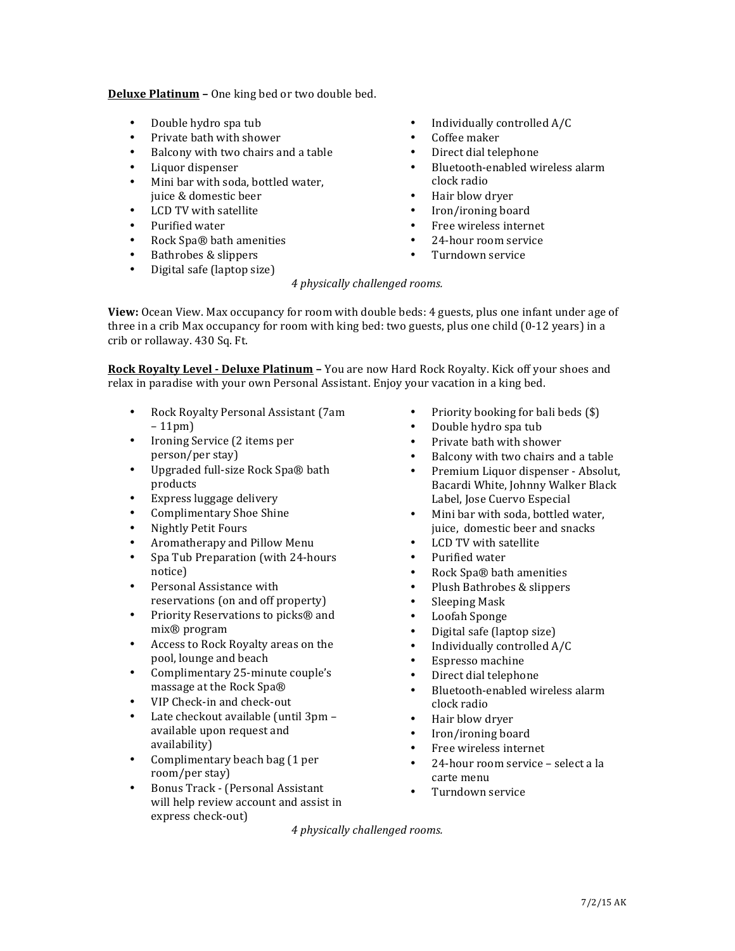**Deluxe Platinum** - One king bed or two double bed.

- Double hydro spa tub
- Private bath with shower
- Balcony with two chairs and a table
- Liquor dispenser
- Mini bar with soda, bottled water, juice & domestic beer
- LCD TV with satellite
- Purified water
- Rock Spa® bath amenities
- Bathrobes & slippers
- Digital safe (laptop size)
- $\bullet$  Individually controlled  $A/C$
- Coffee maker
- Direct dial telephone
- Bluetooth-enabled wireless alarm clock radio
- Hair blow dryer
- Iron/ironing board
- Free wireless internet
- 24-hour room service
- Turndown service

### *4 physically challenged rooms.*

**View:** Ocean View. Max occupancy for room with double beds: 4 guests, plus one infant under age of three in a crib Max occupancy for room with king bed: two guests, plus one child  $(0-12 \text{ years})$  in a crib or rollaway. 430 Sq. Ft.

**Rock Royalty Level - Deluxe Platinum -** You are now Hard Rock Royalty. Kick off your shoes and relax in paradise with your own Personal Assistant. Enjoy your vacation in a king bed.

- Rock Royalty Personal Assistant (7am  $-11$ pm $)$
- Ironing Service (2 items per person/per stay)
- Upgraded full-size Rock Spa® bath products
- Express luggage delivery
- Complimentary Shoe Shine
- Nightly Petit Fours
- Aromatherapy and Pillow Menu
- Spa Tub Preparation (with 24-hours notice)
- Personal Assistance with reservations (on and off property)
- Priority Reservations to picks® and mix® program
- Access to Rock Royalty areas on the pool, lounge and beach
- Complimentary 25-minute couple's massage at the Rock Spa®
- VIP Check-in and check-out
- Late checkout available (until 3pm available upon request and availability)
- Complimentary beach bag (1 per room/per stay)
- Bonus Track (Personal Assistant will help review account and assist in express check-out)
- Priority booking for bali beds  $(\$)$
- Double hydro spa tub
- Private bath with shower
- Balcony with two chairs and a table
- Premium Liquor dispenser Absolut, Bacardi White, Johnny Walker Black Label, Jose Cuervo Especial
- Mini bar with soda, bottled water, juice, domestic beer and snacks
- LCD TV with satellite
- Purified water
- Rock Spa® bath amenities
- Plush Bathrobes & slippers
- Sleeping Mask
- Loofah Sponge
- Digital safe (laptop size)
- Individually controlled A/C
- Espresso machine
- Direct dial telephone
- Bluetooth-enabled wireless alarm clock radio
- Hair blow dryer
- Iron/ironing board
- Free wireless internet
- 24-hour room service select a la carte menu
- Turndown service

*4 physically challenged rooms.*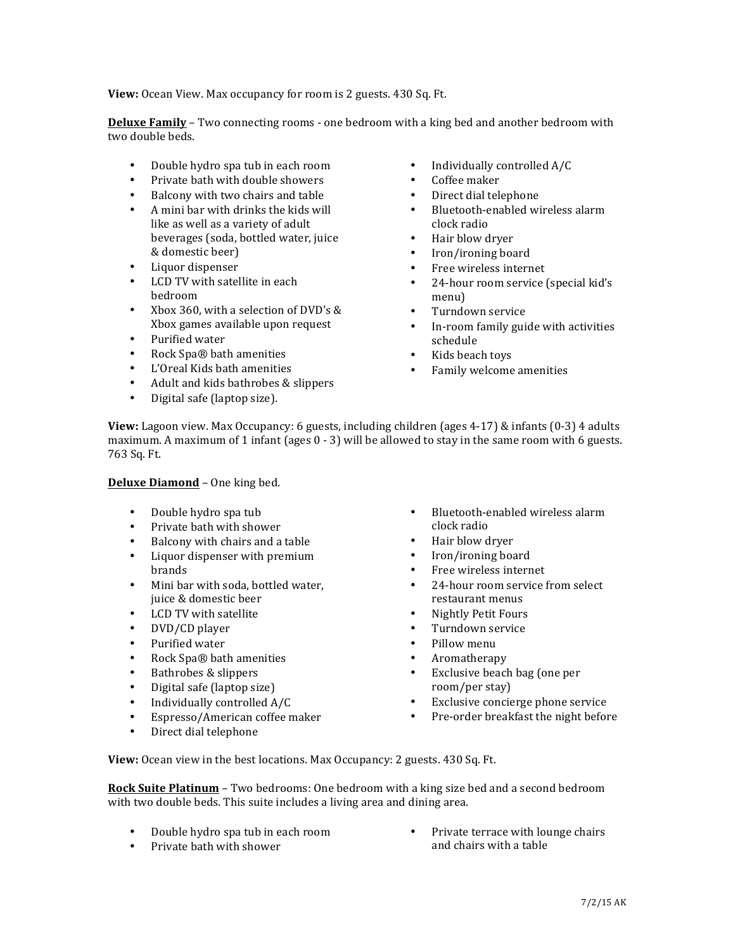**View:** Ocean View. Max occupancy for room is 2 guests. 430 Sq. Ft.

**Deluxe Family** – Two connecting rooms - one bedroom with a king bed and another bedroom with two double beds.

- Double hydro spa tub in each room
- Private bath with double showers
- Balcony with two chairs and table
- A mini bar with drinks the kids will like as well as a variety of adult beverages (soda, bottled water, juice & domestic beer)
- Liquor dispenser
- LCD TV with satellite in each bedroom
- Xbox 360, with a selection of DVD's & Xbox games available upon request
- Purified water
- Rock Spa® bath amenities
- L'Oreal Kids bath amenities
- Adult and kids bathrobes & slippers
- Digital safe (laptop size).
- Individually controlled A/C
- Coffee maker
- Direct dial telephone
- Bluetooth-enabled wireless alarm clock radio
- Hair blow dryer
- Iron/ironing board
- Free wireless internet
- 24-hour room service (special kid's menu)
- Turndown service
- In-room family guide with activities schedule
- Kids beach toys
- Family welcome amenities

**View:** Lagoon view. Max Occupancy: 6 guests, including children (ages 4-17) & infants (0-3) 4 adults maximum. A maximum of 1 infant (ages  $0 - 3$ ) will be allowed to stay in the same room with 6 guests. 763 Sq. Ft.

### **Deluxe Diamond** - One king bed.

- Double hydro spa tub
- Private bath with shower
- Balcony with chairs and a table
- Liquor dispenser with premium brands
- Mini bar with soda, bottled water, juice & domestic beer
- LCD TV with satellite
- DVD/CD player
- Purified water
- Rock Spa® bath amenities
- Bathrobes & slippers
- Digital safe (laptop size)
- Individually controlled A/C
- Espresso/American coffee maker
- Direct dial telephone
- Bluetooth-enabled wireless alarm clock radio
- Hair blow dryer
- Iron/ironing board
- Free wireless internet
- $\cdot$  24-hour room service from select restaurant menus
- Nightly Petit Fours
- Turndown service
- Pillow menu
- Aromatherapy
- Exclusive beach bag (one per room/per stay)
- Exclusive concierge phone service
- Pre-order breakfast the night before

**View:** Ocean view in the best locations. Max Occupancy: 2 guests. 430 Sq. Ft.

**Rock Suite Platinum** – Two bedrooms: One bedroom with a king size bed and a second bedroom with two double beds. This suite includes a living area and dining area.

- Double hydro spa tub in each room
- Private bath with shower

Private terrace with lounge chairs and chairs with a table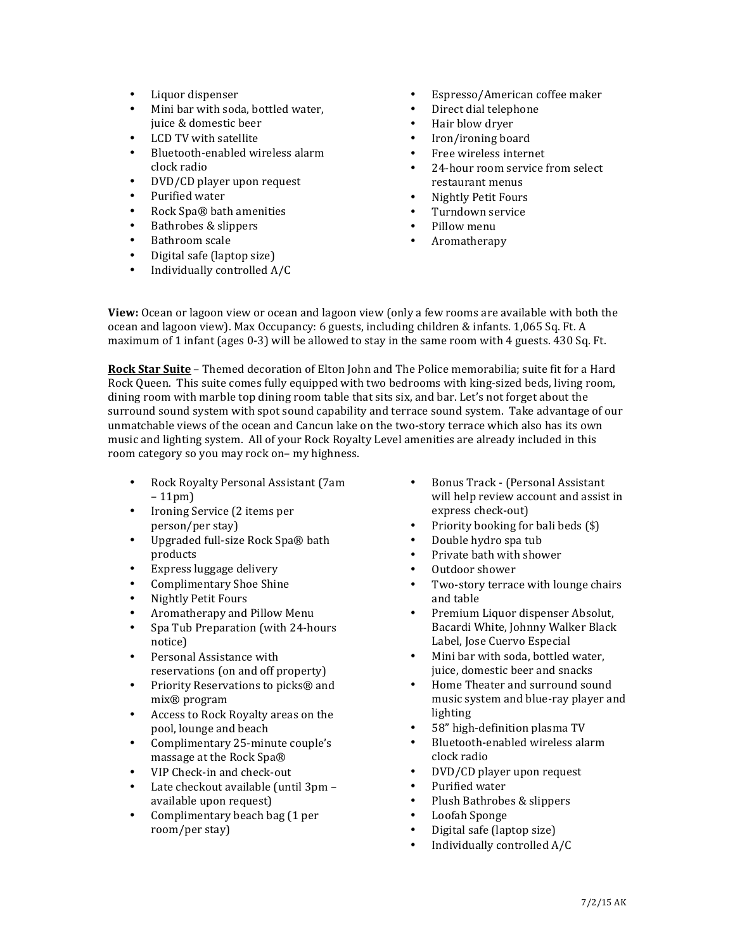- Liquor dispenser
- Mini bar with soda, bottled water, juice & domestic beer
- LCD TV with satellite
- Bluetooth-enabled wireless alarm clock radio
- DVD/CD player upon request
- Purified water
- Rock Spa® bath amenities
- Bathrobes & slippers
- Bathroom scale
- Digital safe (laptop size)
- Individually controlled A/C
- Espresso/American coffee maker
- Direct dial telephone
- Hair blow drver
- Iron/ironing board
- Free wireless internet
- 24-hour room service from select restaurant menus
- Nightly Petit Fours
- Turndown service
- Pillow menu
- Aromatherapy

**View:** Ocean or lagoon view or ocean and lagoon view (only a few rooms are available with both the ocean and lagoon view). Max Occupancy: 6 guests, including children & infants. 1,065 Sq. Ft. A maximum of 1 infant (ages  $0-3$ ) will be allowed to stay in the same room with 4 guests. 430 Sq. Ft.

**Rock Star Suite** – Themed decoration of Elton John and The Police memorabilia; suite fit for a Hard Rock Queen. This suite comes fully equipped with two bedrooms with king-sized beds, living room, dining room with marble top dining room table that sits six, and bar. Let's not forget about the surround sound system with spot sound capability and terrace sound system. Take advantage of our unmatchable views of the ocean and Cancun lake on the two-story terrace which also has its own music and lighting system. All of your Rock Royalty Level amenities are already included in this room category so you may rock on- my highness.

- Rock Royalty Personal Assistant (7am – 11pm)
- Ironing Service (2 items per person/per stay)
- Upgraded full-size Rock Spa® bath products
- Express luggage delivery
- Complimentary Shoe Shine
- Nightly Petit Fours
- Aromatherapy and Pillow Menu
- Spa Tub Preparation (with 24-hours notice)
- Personal Assistance with reservations (on and off property)
- Priority Reservations to picks® and mix® program
- Access to Rock Royalty areas on the pool, lounge and beach
- Complimentary 25-minute couple's massage at the Rock Spa®
- VIP Check-in and check-out
- Late checkout available (until 3pm available upon request)
- Complimentary beach bag (1 per room/per stay)
- Bonus Track (Personal Assistant will help review account and assist in express check-out)
- Priority booking for bali beds  $(\$)$
- Double hydro spa tub
- Private bath with shower
- Outdoor shower
- Two-story terrace with lounge chairs and table
- Premium Liquor dispenser Absolut, Bacardi White, Johnny Walker Black Label, Jose Cuervo Especial
- Mini bar with soda, bottled water, juice, domestic beer and snacks
- Home Theater and surround sound music system and blue-ray player and lighting
- 58" high-definition plasma TV
- Bluetooth-enabled wireless alarm clock radio
- DVD/CD player upon request
- Purified water
- Plush Bathrobes & slippers
- Loofah Sponge
- Digital safe (laptop size)
- Individually controlled A/C